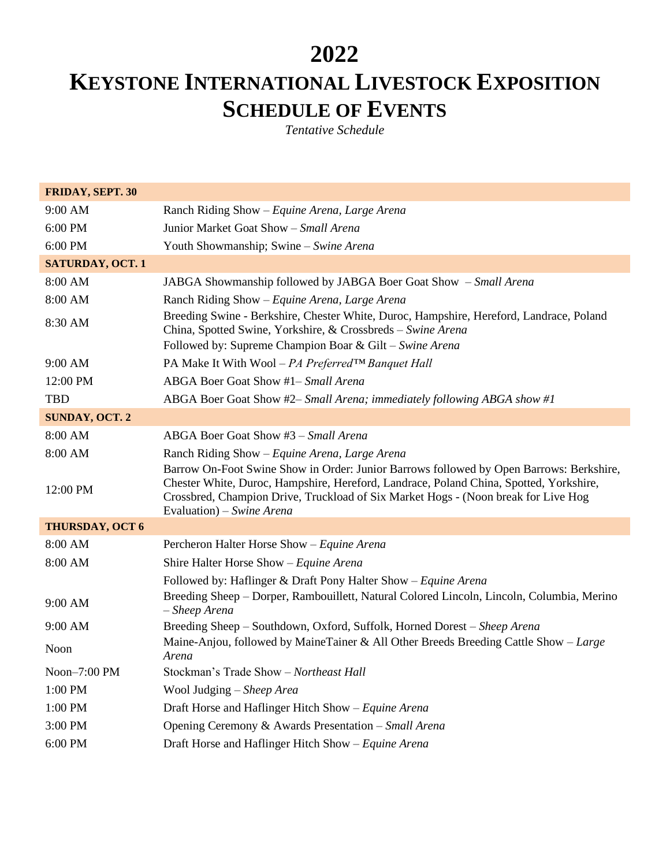## **2022**

## **KEYSTONE INTERNATIONAL LIVESTOCK EXPOSITION SCHEDULE OF EVENTS**

*Tentative Schedule*

| FRIDAY, SEPT. 30        |                                                                                                                                                                                                                                                                                                      |
|-------------------------|------------------------------------------------------------------------------------------------------------------------------------------------------------------------------------------------------------------------------------------------------------------------------------------------------|
| 9:00 AM                 | Ranch Riding Show - Equine Arena, Large Arena                                                                                                                                                                                                                                                        |
| 6:00 PM                 | Junior Market Goat Show - Small Arena                                                                                                                                                                                                                                                                |
| 6:00 PM                 | Youth Showmanship; Swine - Swine Arena                                                                                                                                                                                                                                                               |
| <b>SATURDAY, OCT. 1</b> |                                                                                                                                                                                                                                                                                                      |
| 8:00 AM                 | JABGA Showmanship followed by JABGA Boer Goat Show - Small Arena                                                                                                                                                                                                                                     |
| 8:00 AM                 | Ranch Riding Show - Equine Arena, Large Arena                                                                                                                                                                                                                                                        |
| 8:30 AM                 | Breeding Swine - Berkshire, Chester White, Duroc, Hampshire, Hereford, Landrace, Poland<br>China, Spotted Swine, Yorkshire, & Crossbreds - Swine Arena<br>Followed by: Supreme Champion Boar & Gilt - Swine Arena                                                                                    |
| 9:00 AM                 | PA Make It With Wool – PA Preferred™ Banquet Hall                                                                                                                                                                                                                                                    |
| 12:00 PM                | ABGA Boer Goat Show #1- Small Arena                                                                                                                                                                                                                                                                  |
| <b>TBD</b>              | ABGA Boer Goat Show #2– Small Arena; immediately following ABGA show #1                                                                                                                                                                                                                              |
| <b>SUNDAY, OCT. 2</b>   |                                                                                                                                                                                                                                                                                                      |
| 8:00 AM                 | ABGA Boer Goat Show #3 - Small Arena                                                                                                                                                                                                                                                                 |
| 8:00 AM                 | Ranch Riding Show - Equine Arena, Large Arena                                                                                                                                                                                                                                                        |
| 12:00 PM                | Barrow On-Foot Swine Show in Order: Junior Barrows followed by Open Barrows: Berkshire,<br>Chester White, Duroc, Hampshire, Hereford, Landrace, Poland China, Spotted, Yorkshire,<br>Crossbred, Champion Drive, Truckload of Six Market Hogs - (Noon break for Live Hog<br>Evaluation) – Swine Arena |
| <b>THURSDAY, OCT 6</b>  |                                                                                                                                                                                                                                                                                                      |
| 8:00 AM                 | Percheron Halter Horse Show - Equine Arena                                                                                                                                                                                                                                                           |
| 8:00 AM                 | Shire Halter Horse Show - Equine Arena                                                                                                                                                                                                                                                               |
|                         | Followed by: Haflinger & Draft Pony Halter Show - Equine Arena                                                                                                                                                                                                                                       |
| 9:00 AM                 | Breeding Sheep – Dorper, Rambouillett, Natural Colored Lincoln, Lincoln, Columbia, Merino<br>- Sheep Arena                                                                                                                                                                                           |
| 9:00 AM                 | Breeding Sheep - Southdown, Oxford, Suffolk, Horned Dorest - Sheep Arena                                                                                                                                                                                                                             |
| Noon                    | Maine-Anjou, followed by MaineTainer & All Other Breeds Breeding Cattle Show - Large<br>Arena                                                                                                                                                                                                        |
| Noon-7:00 PM            | Stockman's Trade Show - Northeast Hall                                                                                                                                                                                                                                                               |
| 1:00 PM                 | Wool Judging - Sheep Area                                                                                                                                                                                                                                                                            |
| 1:00 PM                 | Draft Horse and Haflinger Hitch Show $-Equine$ Arena                                                                                                                                                                                                                                                 |
| 3:00 PM                 | Opening Ceremony & Awards Presentation - Small Arena                                                                                                                                                                                                                                                 |
| 6:00 PM                 | Draft Horse and Haflinger Hitch Show - Equine Arena                                                                                                                                                                                                                                                  |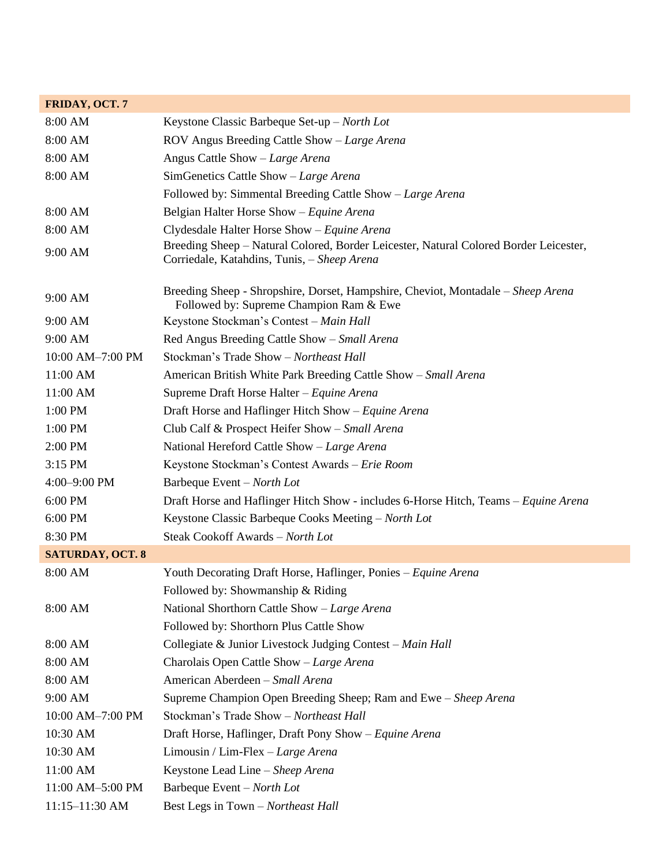| FRIDAY, OCT. 7          |                                                                                                                                      |
|-------------------------|--------------------------------------------------------------------------------------------------------------------------------------|
| 8:00 AM                 | Keystone Classic Barbeque Set-up - North Lot                                                                                         |
| 8:00 AM                 | ROV Angus Breeding Cattle Show - Large Arena                                                                                         |
| 8:00 AM                 | Angus Cattle Show - Large Arena                                                                                                      |
| 8:00 AM                 | SimGenetics Cattle Show - Large Arena                                                                                                |
|                         | Followed by: Simmental Breeding Cattle Show – Large Arena                                                                            |
| 8:00 AM                 | Belgian Halter Horse Show - Equine Arena                                                                                             |
| 8:00 AM                 | Clydesdale Halter Horse Show - Equine Arena                                                                                          |
| 9:00 AM                 | Breeding Sheep - Natural Colored, Border Leicester, Natural Colored Border Leicester,<br>Corriedale, Katahdins, Tunis, - Sheep Arena |
| 9:00 AM                 | Breeding Sheep - Shropshire, Dorset, Hampshire, Cheviot, Montadale - Sheep Arena<br>Followed by: Supreme Champion Ram & Ewe          |
| 9:00 AM                 | Keystone Stockman's Contest - Main Hall                                                                                              |
| 9:00 AM                 | Red Angus Breeding Cattle Show - Small Arena                                                                                         |
| 10:00 AM-7:00 PM        | Stockman's Trade Show - Northeast Hall                                                                                               |
| 11:00 AM                | American British White Park Breeding Cattle Show - Small Arena                                                                       |
| 11:00 AM                | Supreme Draft Horse Halter - Equine Arena                                                                                            |
| 1:00 PM                 | Draft Horse and Haflinger Hitch Show – Equine Arena                                                                                  |
| 1:00 PM                 | Club Calf & Prospect Heifer Show - Small Arena                                                                                       |
| 2:00 PM                 | National Hereford Cattle Show - Large Arena                                                                                          |
| 3:15 PM                 | Keystone Stockman's Contest Awards - Erie Room                                                                                       |
| $4:00 - 9:00$ PM        | Barbeque Event – North Lot                                                                                                           |
| 6:00 PM                 | Draft Horse and Haflinger Hitch Show - includes 6-Horse Hitch, Teams – Equine Arena                                                  |
| 6:00 PM                 | Keystone Classic Barbeque Cooks Meeting - North Lot                                                                                  |
| 8:30 PM                 | Steak Cookoff Awards - North Lot                                                                                                     |
| <b>SATURDAY, OCT. 8</b> |                                                                                                                                      |
| 8:00 AM                 | Youth Decorating Draft Horse, Haflinger, Ponies - Equine Arena                                                                       |
|                         | Followed by: Showmanship & Riding                                                                                                    |
| 8:00 AM                 | National Shorthorn Cattle Show - Large Arena                                                                                         |
|                         | Followed by: Shorthorn Plus Cattle Show                                                                                              |
| 8:00 AM                 | Collegiate & Junior Livestock Judging Contest - Main Hall                                                                            |
| 8:00 AM                 | Charolais Open Cattle Show - Large Arena                                                                                             |
| 8:00 AM                 | American Aberdeen - Small Arena                                                                                                      |
| 9:00 AM                 | Supreme Champion Open Breeding Sheep; Ram and Ewe - Sheep Arena                                                                      |
| 10:00 AM-7:00 PM        | Stockman's Trade Show - Northeast Hall                                                                                               |
| 10:30 AM                | Draft Horse, Haflinger, Draft Pony Show – Equine Arena                                                                               |
| 10:30 AM                | Limousin / Lim-Flex $-Large$ Arena                                                                                                   |
| 11:00 AM                | Keystone Lead Line - Sheep Arena                                                                                                     |
| 11:00 AM-5:00 PM        | Barbeque Event – North Lot                                                                                                           |
| 11:15-11:30 AM          | Best Legs in Town - Northeast Hall                                                                                                   |